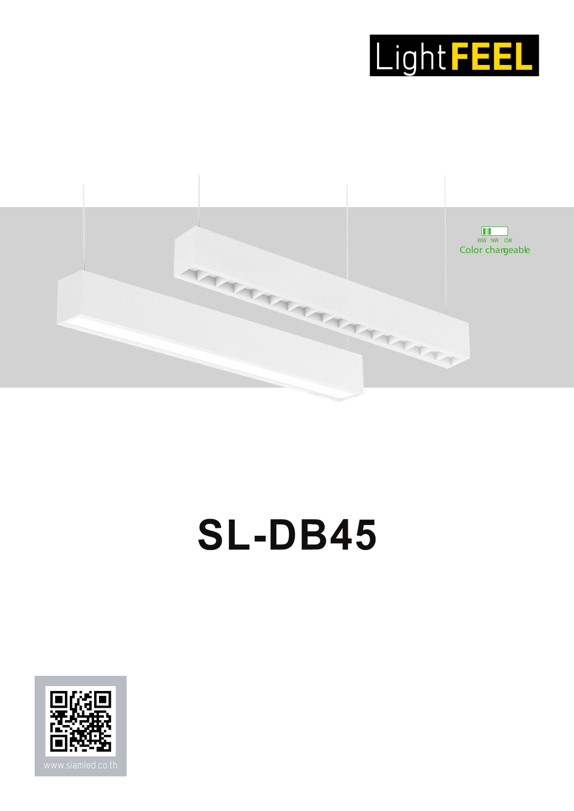



# **SL-DB45**

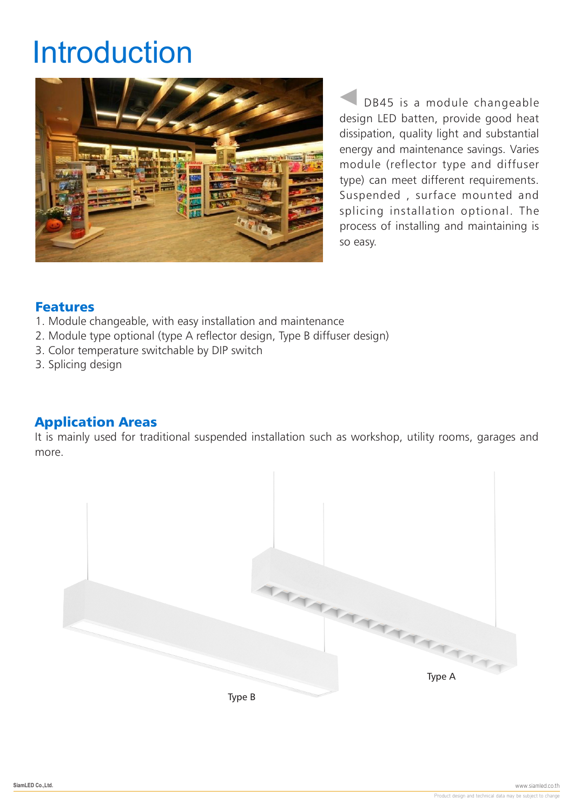# Introduction



DB45 is a module changeable design LED batten, provide good heat dissipation, quality light and substantial energy and maintenance savings. Varies module (reflector type and diffuser type) can meet different requirements. Suspended , surface mounted and splicing installation optional. The process of installing and maintaining is so easy.

#### Features

- 1. Module changeable, with easy installation and maintenance
- 2. Module type optional (type A reflector design, Type B diffuser design)
- 3. Color temperature switchable by DIP switch
- 3. Splicing design

## Application Areas

It is mainly used for traditional suspended installation such as workshop, utility rooms, garages and more.

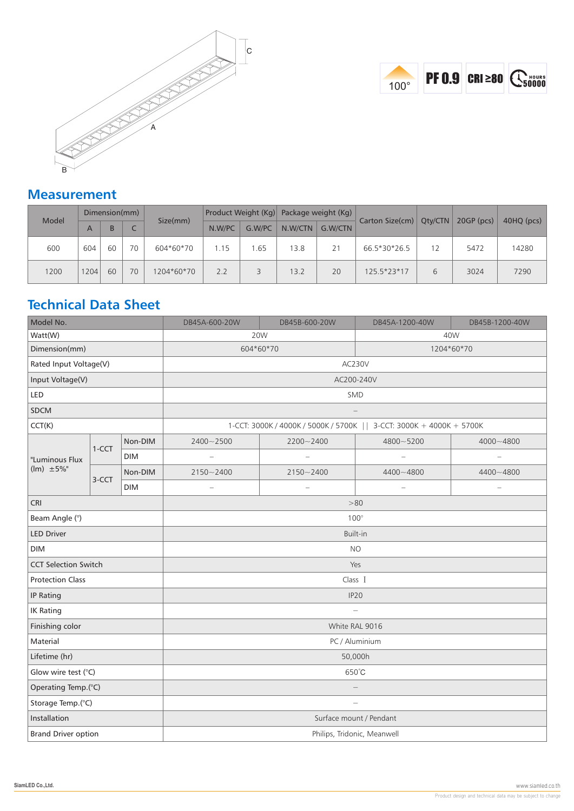



## **Measurement**

| Model | Dimension(mm) |    |    |            | Product Weight (Kg) |        | Package weight (Kg) |         |                 |         |              |            |
|-------|---------------|----|----|------------|---------------------|--------|---------------------|---------|-----------------|---------|--------------|------------|
|       | A             | B  |    | Size(mm)   | N.W/PC              | G.W/PC | N.W/CTN             | G.W/CTN | Carton Size(cm) | Oty/CTN | $20GP$ (pcs) | 40HQ (pcs) |
| 600   | 604           | 60 | 70 | 604*60*70  | 1.15                | .65    | 13.8                | 21      | 66.5*30*26.5    |         | 5472         | 14280      |
| 1200  | 1204          | 60 | 70 | 1204*60*70 | 2.2                 |        | 13.2                | 20      | 125.5*23*17     | 6       | 3024         | 7290       |

# **Technical Data Sheet**

| Model No.                   |         |            | DB45A-600-20W                                                         | DB45B-600-20W            | DB45A-1200-40W           | DB45B-1200-40W |  |  |
|-----------------------------|---------|------------|-----------------------------------------------------------------------|--------------------------|--------------------------|----------------|--|--|
| Watt(W)                     |         |            |                                                                       | 20W                      | 40W                      |                |  |  |
| Dimension(mm)               |         |            | 604*60*70<br>1204*60*70                                               |                          |                          |                |  |  |
| Rated Input Voltage(V)      |         |            | AC230V                                                                |                          |                          |                |  |  |
| Input Voltage(V)            |         |            | AC200-240V                                                            |                          |                          |                |  |  |
| LED                         |         |            | <b>SMD</b>                                                            |                          |                          |                |  |  |
| <b>SDCM</b>                 |         |            |                                                                       |                          |                          |                |  |  |
| CCT(K)                      |         |            | 1-CCT: 3000K / 4000K / 5000K / 5700K     3-CCT: 3000K + 4000K + 5700K |                          |                          |                |  |  |
|                             |         | Non-DIM    | 2400~2500                                                             | 2200~2400                | 4800~5200                | 4000~4800      |  |  |
| "Luminous Flux              | $1-CCT$ | <b>DIM</b> | $\qquad \qquad -$                                                     | $\overline{\phantom{0}}$ | $\overline{a}$           |                |  |  |
| $(lm) \pm 5\%$ "            |         | Non-DIM    | $2150 - 2400$                                                         | $2150 - 2400$            | 4400~4800                | 4400~4800      |  |  |
|                             | 3-CCT   | <b>DIM</b> | $\overline{\phantom{0}}$                                              | $\qquad \qquad -$        | $\overline{\phantom{0}}$ |                |  |  |
| <b>CRI</b>                  |         |            | >80                                                                   |                          |                          |                |  |  |
| Beam Angle (°)              |         |            | $100^{\circ}$                                                         |                          |                          |                |  |  |
| <b>LED Driver</b>           |         |            | Built-in                                                              |                          |                          |                |  |  |
| <b>DIM</b>                  |         |            | <b>NO</b>                                                             |                          |                          |                |  |  |
| <b>CCT Selection Switch</b> |         |            | Yes                                                                   |                          |                          |                |  |  |
| <b>Protection Class</b>     |         |            | Class I                                                               |                          |                          |                |  |  |
| <b>IP Rating</b>            |         |            | IP20                                                                  |                          |                          |                |  |  |
| <b>IK Rating</b>            |         |            | $\overline{\phantom{a}}$                                              |                          |                          |                |  |  |
| Finishing color             |         |            | White RAL 9016                                                        |                          |                          |                |  |  |
| Material                    |         |            | PC / Aluminium                                                        |                          |                          |                |  |  |
| Lifetime (hr)               |         |            | 50,000h                                                               |                          |                          |                |  |  |
| Glow wire test (°C)         |         |            | 650°C                                                                 |                          |                          |                |  |  |
| Operating Temp.(°C)         |         |            |                                                                       |                          |                          |                |  |  |
| Storage Temp.(°C)           |         |            |                                                                       |                          |                          |                |  |  |
| Installation                |         |            | Surface mount / Pendant                                               |                          |                          |                |  |  |
| <b>Brand Driver option</b>  |         |            | Philips, Tridonic, Meanwell                                           |                          |                          |                |  |  |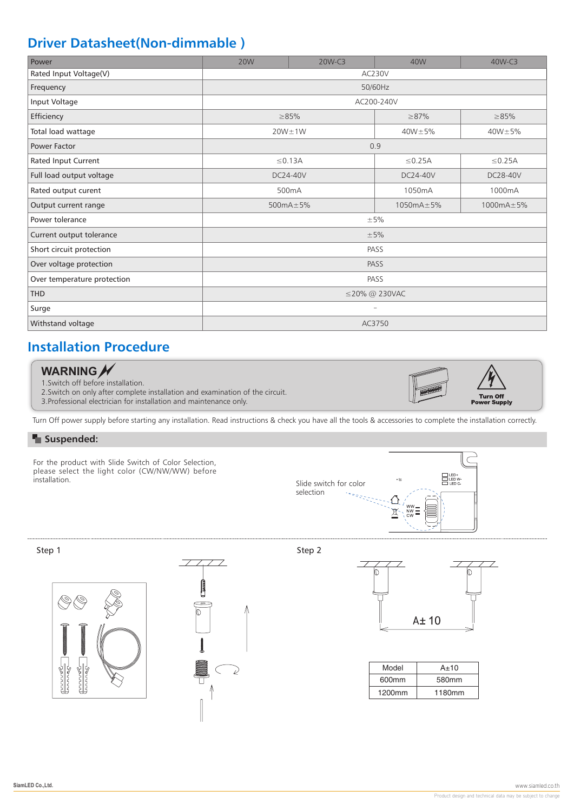# **Driver Datasheet(Non-dimmable )**

| Power                       | <b>20W</b>    | 20W-C3          | 40W             | 40W-C3       |  |  |  |
|-----------------------------|---------------|-----------------|-----------------|--------------|--|--|--|
| Rated Input Voltage(V)      | AC230V        |                 |                 |              |  |  |  |
| Frequency                   | 50/60Hz       |                 |                 |              |  |  |  |
| Input Voltage               | AC200-240V    |                 |                 |              |  |  |  |
| Efficiency                  |               | $\geq 85\%$     | $\geq 87\%$     | $\geq 85\%$  |  |  |  |
| Total load wattage          |               | $20W \pm 1W$    | $40W \pm 5%$    | $40W \pm 5%$ |  |  |  |
| Power Factor                | 0.9           |                 |                 |              |  |  |  |
| Rated Input Current         |               | $\leq$ 0.13A    | $\leq$ 0.25A    | $\leq$ 0.25A |  |  |  |
| Full load output voltage    |               | DC24-40V        | DC24-40V        | DC28-40V     |  |  |  |
| Rated output curent         |               | 500mA           | 1050mA          | 1000mA       |  |  |  |
| Output current range        |               | 500 $mA \pm 5%$ | $1050mA \pm 5%$ | 1000mA±5%    |  |  |  |
| Power tolerance             | $\pm$ 5%      |                 |                 |              |  |  |  |
| Current output tolerance    | ±5%           |                 |                 |              |  |  |  |
| Short circuit protection    | PASS          |                 |                 |              |  |  |  |
| Over voltage protection     | PASS          |                 |                 |              |  |  |  |
| Over temperature protection | PASS          |                 |                 |              |  |  |  |
| <b>THD</b>                  | ≤20% @ 230VAC |                 |                 |              |  |  |  |
| Surge                       |               |                 |                 |              |  |  |  |
| Withstand voltage           | AC3750        |                 |                 |              |  |  |  |

# **Installation Procedure**

#### **WARNING**

1.Switch off before installation.

2.Switch on only after complete installation and examination of the circuit.

3.Professional electrician for installation and maintenance only.



Turn Off power supply before starting any installation. Read instructions & check you have all the tools & accessories to complete the installation correctly.

#### **F** Suspended:

For the product with Slide Switch of Color Selection, please select the light color (CW/NW/WW) before<br>installation.







Step 1 Step 2 Step 2 Step 2 Step 2 Step 2 Step 2 Step 2 Step 2 Step 2 Step 2 Step 2 Step 2 Step 2 Step 2 Step 2



| Model  | $A \pm 10$ |
|--------|------------|
| 600mm  | 580mm      |
| 1200mm | 1180mm     |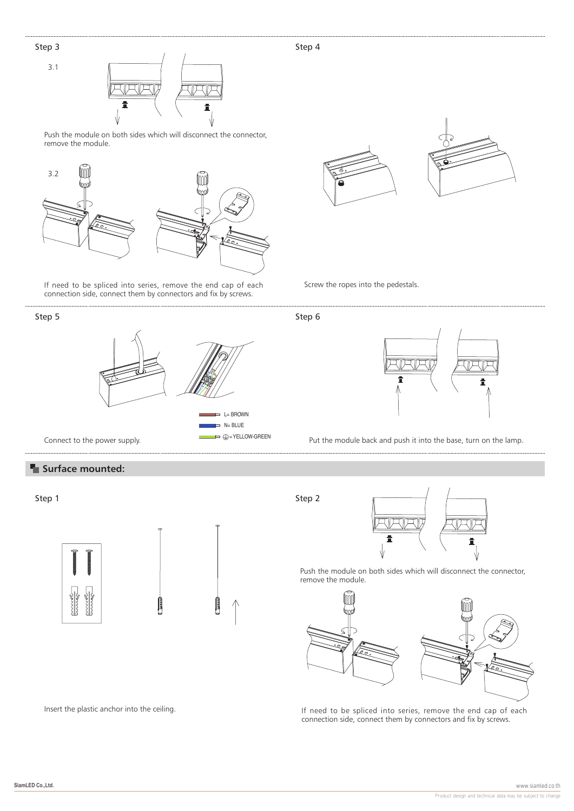#### Step 3

3.1



Push the module on both sides which will disconnect the connector, remove the module.



If need to be spliced into series, remove the end cap of each connection side, connect them by connectors and fix by screws.

#### Step 5



#### **Example 3 Surface mounted:**

Step 1



Insert the plastic anchor into the ceiling.





Screw the ropes into the pedestals.

Step 6



Put the module back and push it into the base, turn on the lamp.

Step 2



Push the module on both sides which will disconnect the connector, remove the module.



If need to be spliced into series, remove the end cap of each connection side, connect them by connectors and fix by screws.